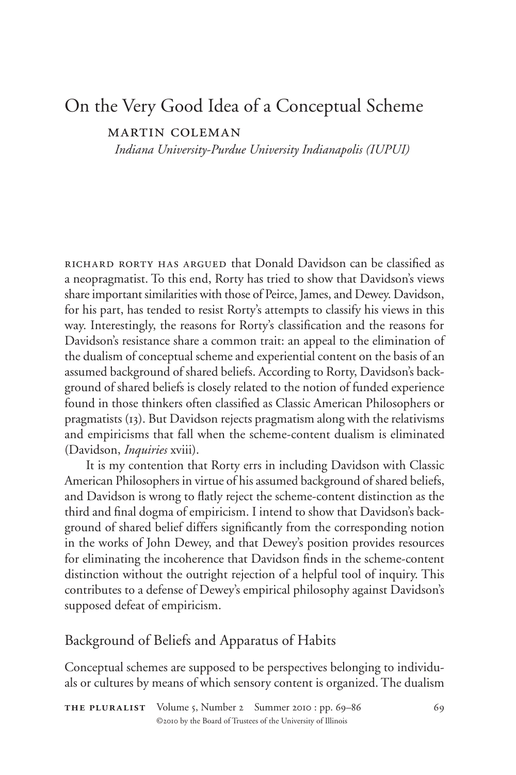# On the Very Good Idea of a Conceptual Scheme

martin coleman

*Indiana University-Purdue University Indianapolis (IUPUI)*

richard rorty has argued that Donald Davidson can be classified as a neopragmatist. To this end, Rorty has tried to show that Davidson's views share important similarities with those of Peirce, James, and Dewey. Davidson, for his part, has tended to resist Rorty's attempts to classify his views in this way. Interestingly, the reasons for Rorty's classification and the reasons for Davidson's resistance share a common trait: an appeal to the elimination of the dualism of conceptual scheme and experiential content on the basis of an assumed background of shared beliefs. According to Rorty, Davidson's background of shared beliefs is closely related to the notion of funded experience found in those thinkers often classified as Classic American Philosophers or pragmatists (13). But Davidson rejects pragmatism along with the relativisms and empiricisms that fall when the scheme-content dualism is eliminated (Davidson, *Inquiries* xviii).

It is my contention that Rorty errs in including Davidson with Classic American Philosophers in virtue of his assumed background of shared beliefs, and Davidson is wrong to flatly reject the scheme-content distinction as the third and final dogma of empiricism. I intend to show that Davidson's background of shared belief differs significantly from the corresponding notion in the works of John Dewey, and that Dewey's position provides resources for eliminating the incoherence that Davidson finds in the scheme-content distinction without the outright rejection of a helpful tool of inquiry. This contributes to a defense of Dewey's empirical philosophy against Davidson's supposed defeat of empiricism.

## Background of Beliefs and Apparatus of Habits

Conceptual schemes are supposed to be perspectives belonging to individuals or cultures by means of which sensory content is organized. The dualism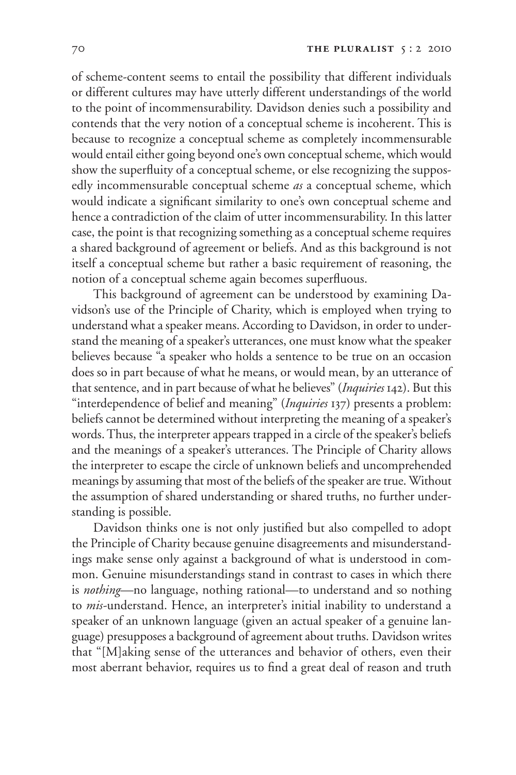of scheme-content seems to entail the possibility that different individuals or different cultures may have utterly different understandings of the world to the point of incommensurability. Davidson denies such a possibility and contends that the very notion of a conceptual scheme is incoherent. This is because to recognize a conceptual scheme as completely incommensurable would entail either going beyond one's own conceptual scheme, which would show the superfluity of a conceptual scheme, or else recognizing the supposedly incommensurable conceptual scheme *as* a conceptual scheme, which would indicate a significant similarity to one's own conceptual scheme and hence a contradiction of the claim of utter incommensurability. In this latter case, the point is that recognizing something as a conceptual scheme requires a shared background of agreement or beliefs. And as this background is not itself a conceptual scheme but rather a basic requirement of reasoning, the notion of a conceptual scheme again becomes superfluous.

This background of agreement can be understood by examining Davidson's use of the Principle of Charity, which is employed when trying to understand what a speaker means. According to Davidson, in order to understand the meaning of a speaker's utterances, one must know what the speaker believes because "a speaker who holds a sentence to be true on an occasion does so in part because of what he means, or would mean, by an utterance of that sentence, and in part because of what he believes" (*Inquiries* 142). But this "interdependence of belief and meaning" (*Inquiries* 137) presents a problem: beliefs cannot be determined without interpreting the meaning of a speaker's words. Thus, the interpreter appears trapped in a circle of the speaker's beliefs and the meanings of a speaker's utterances. The Principle of Charity allows the interpreter to escape the circle of unknown beliefs and uncomprehended meanings by assuming that most of the beliefs of the speaker are true. Without the assumption of shared understanding or shared truths, no further understanding is possible.

Davidson thinks one is not only justified but also compelled to adopt the Principle of Charity because genuine disagreements and misunderstandings make sense only against a background of what is understood in common. Genuine misunderstandings stand in contrast to cases in which there is *nothing*—no language, nothing rational—to understand and so nothing to *mis-*understand. Hence, an interpreter's initial inability to understand a speaker of an unknown language (given an actual speaker of a genuine language) presupposes a background of agreement about truths. Davidson writes that "[M]aking sense of the utterances and behavior of others, even their most aberrant behavior, requires us to find a great deal of reason and truth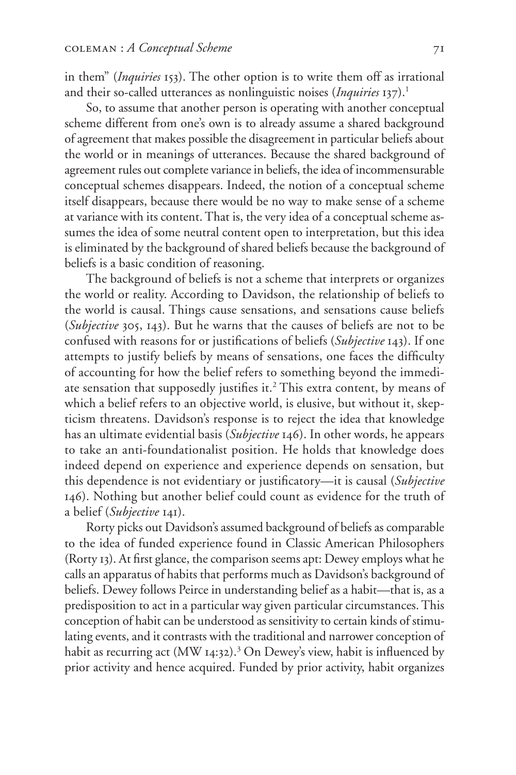in them" (*Inquiries* 153). The other option is to write them off as irrational and their so-called utterances as nonlinguistic noises (*Inquiries* 137).<sup>1</sup>

So, to assume that another person is operating with another conceptual scheme different from one's own is to already assume a shared background of agreement that makes possible the disagreement in particular beliefs about the world or in meanings of utterances. Because the shared background of agreement rules out complete variance in beliefs, the idea of incommensurable conceptual schemes disappears. Indeed, the notion of a conceptual scheme itself disappears, because there would be no way to make sense of a scheme at variance with its content. That is, the very idea of a conceptual scheme assumes the idea of some neutral content open to interpretation, but this idea is eliminated by the background of shared beliefs because the background of beliefs is a basic condition of reasoning.

The background of beliefs is not a scheme that interprets or organizes the world or reality. According to Davidson, the relationship of beliefs to the world is causal. Things cause sensations, and sensations cause beliefs (*Subjective* 305, 143). But he warns that the causes of beliefs are not to be confused with reasons for or justifications of beliefs (*Subjective* 143). If one attempts to justify beliefs by means of sensations, one faces the difficulty of accounting for how the belief refers to something beyond the immediate sensation that supposedly justifies it.2 This extra content, by means of which a belief refers to an objective world, is elusive, but without it, skepticism threatens. Davidson's response is to reject the idea that knowledge has an ultimate evidential basis (*Subjective* 146). In other words, he appears to take an anti-foundationalist position. He holds that knowledge does indeed depend on experience and experience depends on sensation, but this dependence is not evidentiary or justificatory—it is causal (*Subjective* 146). Nothing but another belief could count as evidence for the truth of a belief (*Subjective* 141).

Rorty picks out Davidson's assumed background of beliefs as comparable to the idea of funded experience found in Classic American Philosophers (Rorty 13). At first glance, the comparison seems apt: Dewey employs what he calls an apparatus of habits that performs much as Davidson's background of beliefs. Dewey follows Peirce in understanding belief as a habit—that is, as a predisposition to act in a particular way given particular circumstances. This conception of habit can be understood as sensitivity to certain kinds of stimulating events, and it contrasts with the traditional and narrower conception of habit as recurring act (MW 14:32).<sup>3</sup> On Dewey's view, habit is influenced by prior activity and hence acquired. Funded by prior activity, habit organizes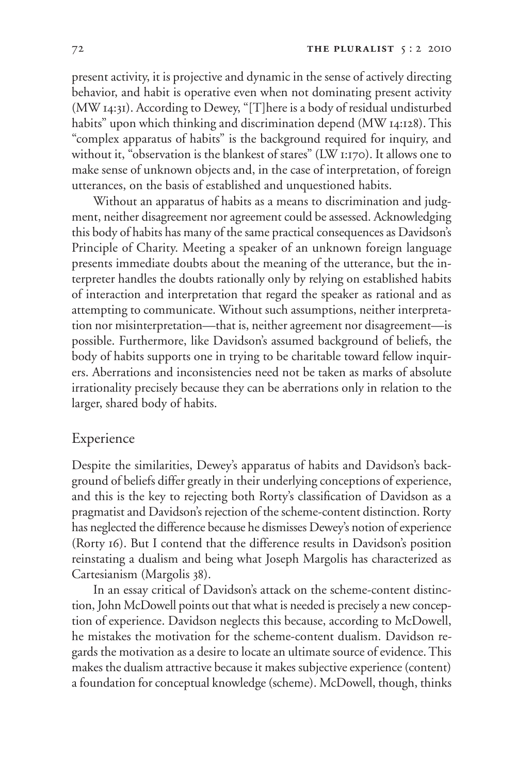present activity, it is projective and dynamic in the sense of actively directing behavior, and habit is operative even when not dominating present activity (MW 14:31). According to Dewey, "[T]here is a body of residual undisturbed habits" upon which thinking and discrimination depend (MW 14:128). This "complex apparatus of habits" is the background required for inquiry, and without it, "observation is the blankest of stares" (LW 1:170). It allows one to make sense of unknown objects and, in the case of interpretation, of foreign utterances, on the basis of established and unquestioned habits.

Without an apparatus of habits as a means to discrimination and judgment, neither disagreement nor agreement could be assessed. Acknowledging this body of habits has many of the same practical consequences as Davidson's Principle of Charity. Meeting a speaker of an unknown foreign language presents immediate doubts about the meaning of the utterance, but the interpreter handles the doubts rationally only by relying on established habits of interaction and interpretation that regard the speaker as rational and as attempting to communicate. Without such assumptions, neither interpretation nor misinterpretation—that is, neither agreement nor disagreement—is possible. Furthermore, like Davidson's assumed background of beliefs, the body of habits supports one in trying to be charitable toward fellow inquirers. Aberrations and inconsistencies need not be taken as marks of absolute irrationality precisely because they can be aberrations only in relation to the larger, shared body of habits.

#### Experience

Despite the similarities, Dewey's apparatus of habits and Davidson's background of beliefs differ greatly in their underlying conceptions of experience, and this is the key to rejecting both Rorty's classification of Davidson as a pragmatist and Davidson's rejection of the scheme-content distinction. Rorty has neglected the difference because he dismisses Dewey's notion of experience (Rorty 16). But I contend that the difference results in Davidson's position reinstating a dualism and being what Joseph Margolis has characterized as Cartesianism (Margolis 38).

In an essay critical of Davidson's attack on the scheme-content distinction, John McDowell points out that what is needed is precisely a new conception of experience. Davidson neglects this because, according to McDowell, he mistakes the motivation for the scheme-content dualism. Davidson regards the motivation as a desire to locate an ultimate source of evidence. This makes the dualism attractive because it makes subjective experience (content) a foundation for conceptual knowledge (scheme). McDowell, though, thinks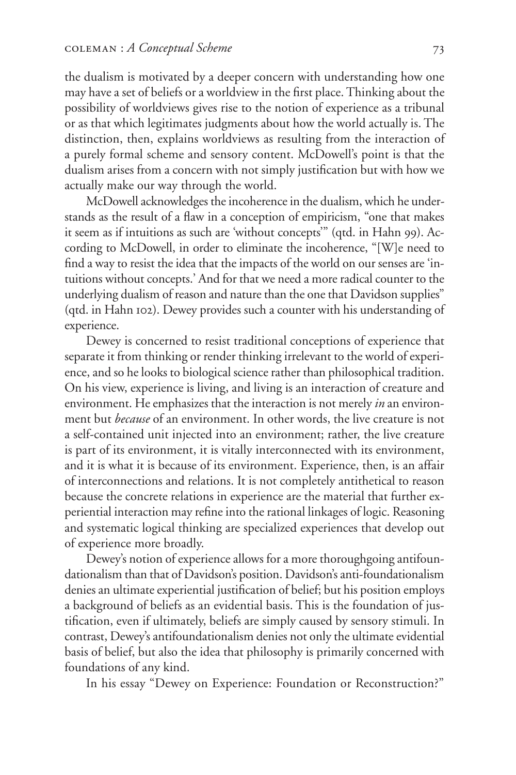the dualism is motivated by a deeper concern with understanding how one may have a set of beliefs or a worldview in the first place. Thinking about the possibility of worldviews gives rise to the notion of experience as a tribunal or as that which legitimates judgments about how the world actually is. The distinction, then, explains worldviews as resulting from the interaction of a purely formal scheme and sensory content. McDowell's point is that the dualism arises from a concern with not simply justification but with how we actually make our way through the world.

McDowell acknowledges the incoherence in the dualism, which he understands as the result of a flaw in a conception of empiricism, "one that makes it seem as if intuitions as such are 'without concepts'" (qtd. in Hahn 99). According to McDowell, in order to eliminate the incoherence, "[W]e need to find a way to resist the idea that the impacts of the world on our senses are 'intuitions without concepts.' And for that we need a more radical counter to the underlying dualism of reason and nature than the one that Davidson supplies" (qtd. in Hahn 102). Dewey provides such a counter with his understanding of experience.

Dewey is concerned to resist traditional conceptions of experience that separate it from thinking or render thinking irrelevant to the world of experience, and so he looks to biological science rather than philosophical tradition. On his view, experience is living, and living is an interaction of creature and environment. He emphasizes that the interaction is not merely *in* an environment but *because* of an environment. In other words, the live creature is not a self-contained unit injected into an environment; rather, the live creature is part of its environment, it is vitally interconnected with its environment, and it is what it is because of its environment. Experience, then, is an affair of interconnections and relations. It is not completely antithetical to reason because the concrete relations in experience are the material that further experiential interaction may refine into the rational linkages of logic. Reasoning and systematic logical thinking are specialized experiences that develop out of experience more broadly.

Dewey's notion of experience allows for a more thoroughgoing antifoundationalism than that of Davidson's position. Davidson's anti-foundationalism denies an ultimate experiential justification of belief; but his position employs a background of beliefs as an evidential basis. This is the foundation of justification, even if ultimately, beliefs are simply caused by sensory stimuli. In contrast, Dewey's antifoundationalism denies not only the ultimate evidential basis of belief, but also the idea that philosophy is primarily concerned with foundations of any kind.

In his essay "Dewey on Experience: Foundation or Reconstruction?"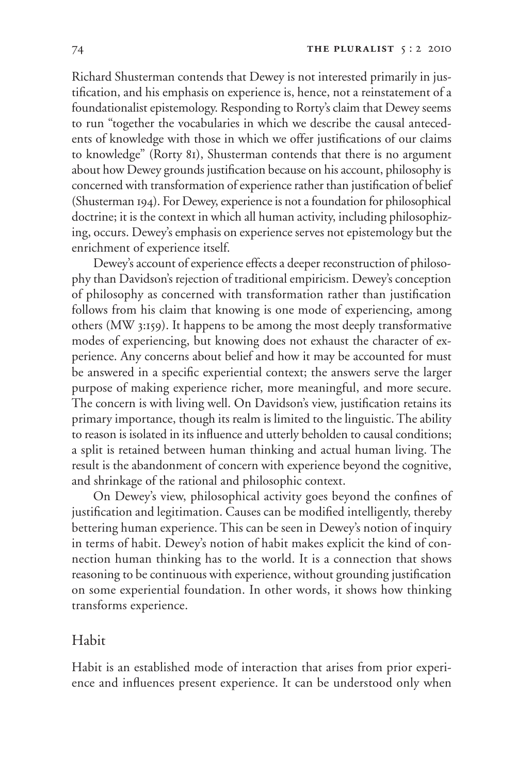Richard Shusterman contends that Dewey is not interested primarily in justification, and his emphasis on experience is, hence, not a reinstatement of a foundationalist epistemology. Responding to Rorty's claim that Dewey seems to run "together the vocabularies in which we describe the causal antecedents of knowledge with those in which we offer justifications of our claims to knowledge" (Rorty 81), Shusterman contends that there is no argument about how Dewey grounds justification because on his account, philosophy is concerned with transformation of experience rather than justification of belief (Shusterman 194). For Dewey, experience is not a foundation for philosophical doctrine; it is the context in which all human activity, including philosophizing, occurs. Dewey's emphasis on experience serves not epistemology but the enrichment of experience itself.

Dewey's account of experience effects a deeper reconstruction of philosophy than Davidson's rejection of traditional empiricism. Dewey's conception of philosophy as concerned with transformation rather than justification follows from his claim that knowing is one mode of experiencing, among others (MW 3:159). It happens to be among the most deeply transformative modes of experiencing, but knowing does not exhaust the character of experience. Any concerns about belief and how it may be accounted for must be answered in a specific experiential context; the answers serve the larger purpose of making experience richer, more meaningful, and more secure. The concern is with living well. On Davidson's view, justification retains its primary importance, though its realm is limited to the linguistic. The ability to reason is isolated in its influence and utterly beholden to causal conditions; a split is retained between human thinking and actual human living. The result is the abandonment of concern with experience beyond the cognitive, and shrinkage of the rational and philosophic context.

On Dewey's view, philosophical activity goes beyond the confines of justification and legitimation. Causes can be modified intelligently, thereby bettering human experience. This can be seen in Dewey's notion of inquiry in terms of habit. Dewey's notion of habit makes explicit the kind of connection human thinking has to the world. It is a connection that shows reasoning to be continuous with experience, without grounding justification on some experiential foundation. In other words, it shows how thinking transforms experience.

#### Habit

Habit is an established mode of interaction that arises from prior experience and influences present experience. It can be understood only when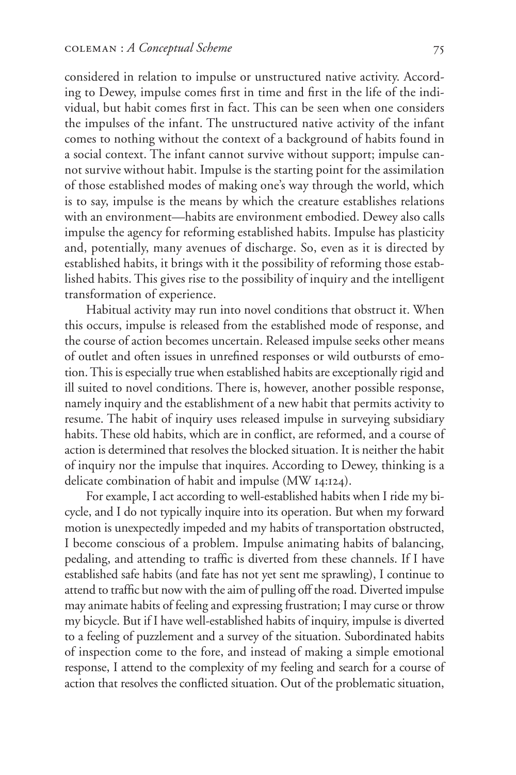considered in relation to impulse or unstructured native activity. According to Dewey, impulse comes first in time and first in the life of the individual, but habit comes first in fact. This can be seen when one considers the impulses of the infant. The unstructured native activity of the infant comes to nothing without the context of a background of habits found in a social context. The infant cannot survive without support; impulse cannot survive without habit. Impulse is the starting point for the assimilation of those established modes of making one's way through the world, which is to say, impulse is the means by which the creature establishes relations with an environment—habits are environment embodied. Dewey also calls impulse the agency for reforming established habits. Impulse has plasticity and, potentially, many avenues of discharge. So, even as it is directed by established habits, it brings with it the possibility of reforming those established habits. This gives rise to the possibility of inquiry and the intelligent transformation of experience.

Habitual activity may run into novel conditions that obstruct it. When this occurs, impulse is released from the established mode of response, and the course of action becomes uncertain. Released impulse seeks other means of outlet and often issues in unrefined responses or wild outbursts of emotion. This is especially true when established habits are exceptionally rigid and ill suited to novel conditions. There is, however, another possible response, namely inquiry and the establishment of a new habit that permits activity to resume. The habit of inquiry uses released impulse in surveying subsidiary habits. These old habits, which are in conflict, are reformed, and a course of action is determined that resolves the blocked situation. It is neither the habit of inquiry nor the impulse that inquires. According to Dewey, thinking is a delicate combination of habit and impulse (MW 14:124).

For example, I act according to well-established habits when I ride my bicycle, and I do not typically inquire into its operation. But when my forward motion is unexpectedly impeded and my habits of transportation obstructed, I become conscious of a problem. Impulse animating habits of balancing, pedaling, and attending to traffic is diverted from these channels. If I have established safe habits (and fate has not yet sent me sprawling), I continue to attend to traffic but now with the aim of pulling off the road. Diverted impulse may animate habits of feeling and expressing frustration; I may curse or throw my bicycle. But if I have well-established habits of inquiry, impulse is diverted to a feeling of puzzlement and a survey of the situation. Subordinated habits of inspection come to the fore, and instead of making a simple emotional response, I attend to the complexity of my feeling and search for a course of action that resolves the conflicted situation. Out of the problematic situation,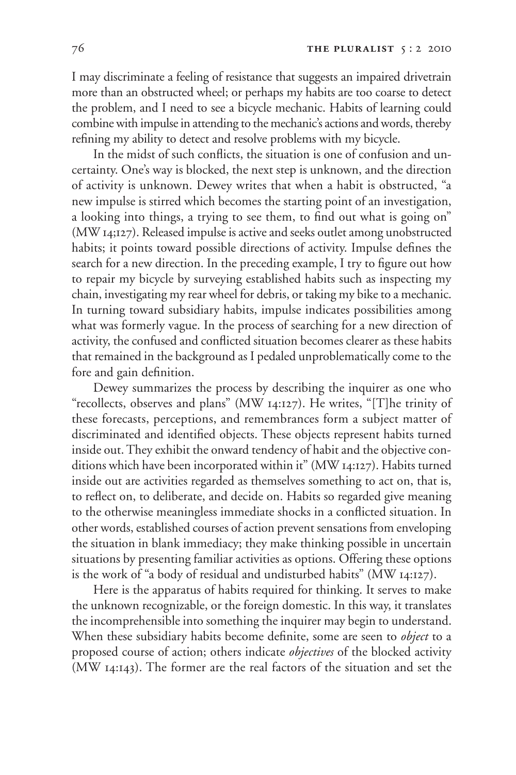I may discriminate a feeling of resistance that suggests an impaired drivetrain more than an obstructed wheel; or perhaps my habits are too coarse to detect the problem, and I need to see a bicycle mechanic. Habits of learning could combine with impulse in attending to the mechanic's actions and words, thereby refining my ability to detect and resolve problems with my bicycle.

In the midst of such conflicts, the situation is one of confusion and uncertainty. One's way is blocked, the next step is unknown, and the direction of activity is unknown. Dewey writes that when a habit is obstructed, "a new impulse is stirred which becomes the starting point of an investigation, a looking into things, a trying to see them, to find out what is going on" (MW 14;127). Released impulse is active and seeks outlet among unobstructed habits; it points toward possible directions of activity. Impulse defines the search for a new direction. In the preceding example, I try to figure out how to repair my bicycle by surveying established habits such as inspecting my chain, investigating my rear wheel for debris, or taking my bike to a mechanic. In turning toward subsidiary habits, impulse indicates possibilities among what was formerly vague. In the process of searching for a new direction of activity, the confused and conflicted situation becomes clearer as these habits that remained in the background as I pedaled unproblematically come to the fore and gain definition.

Dewey summarizes the process by describing the inquirer as one who "recollects, observes and plans" (MW 14:127). He writes, "[T]he trinity of these forecasts, perceptions, and remembrances form a subject matter of discriminated and identified objects. These objects represent habits turned inside out. They exhibit the onward tendency of habit and the objective conditions which have been incorporated within it" (MW 14:127). Habits turned inside out are activities regarded as themselves something to act on, that is, to reflect on, to deliberate, and decide on. Habits so regarded give meaning to the otherwise meaningless immediate shocks in a conflicted situation. In other words, established courses of action prevent sensations from enveloping the situation in blank immediacy; they make thinking possible in uncertain situations by presenting familiar activities as options. Offering these options is the work of "a body of residual and undisturbed habits" (MW 14:127).

Here is the apparatus of habits required for thinking. It serves to make the unknown recognizable, or the foreign domestic. In this way, it translates the incomprehensible into something the inquirer may begin to understand. When these subsidiary habits become definite, some are seen to *object* to a proposed course of action; others indicate *objectives* of the blocked activity (MW 14:143). The former are the real factors of the situation and set the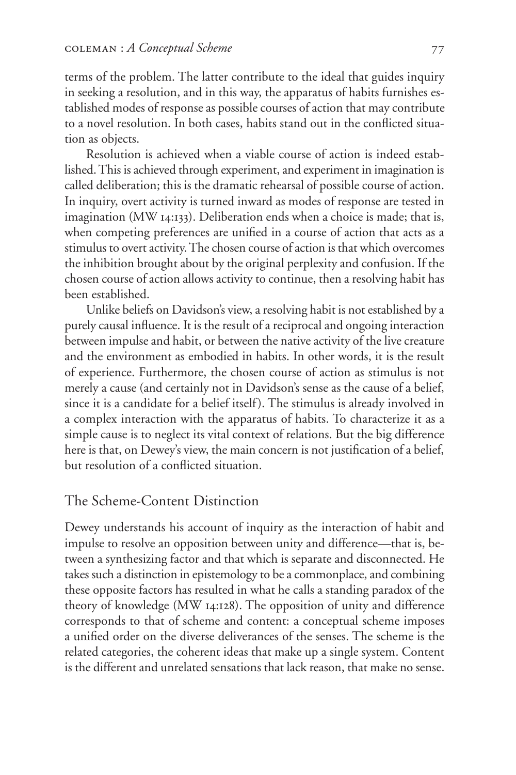terms of the problem. The latter contribute to the ideal that guides inquiry in seeking a resolution, and in this way, the apparatus of habits furnishes established modes of response as possible courses of action that may contribute to a novel resolution. In both cases, habits stand out in the conflicted situation as objects.

Resolution is achieved when a viable course of action is indeed established. This is achieved through experiment, and experiment in imagination is called deliberation; this is the dramatic rehearsal of possible course of action. In inquiry, overt activity is turned inward as modes of response are tested in imagination (MW 14:133). Deliberation ends when a choice is made; that is, when competing preferences are unified in a course of action that acts as a stimulus to overt activity. The chosen course of action is that which overcomes the inhibition brought about by the original perplexity and confusion. If the chosen course of action allows activity to continue, then a resolving habit has been established.

Unlike beliefs on Davidson's view, a resolving habit is not established by a purely causal influence. It is the result of a reciprocal and ongoing interaction between impulse and habit, or between the native activity of the live creature and the environment as embodied in habits. In other words, it is the result of experience. Furthermore, the chosen course of action as stimulus is not merely a cause (and certainly not in Davidson's sense as the cause of a belief, since it is a candidate for a belief itself). The stimulus is already involved in a complex interaction with the apparatus of habits. To characterize it as a simple cause is to neglect its vital context of relations. But the big difference here is that, on Dewey's view, the main concern is not justification of a belief, but resolution of a conflicted situation.

#### The Scheme-Content Distinction

Dewey understands his account of inquiry as the interaction of habit and impulse to resolve an opposition between unity and difference—that is, between a synthesizing factor and that which is separate and disconnected. He takes such a distinction in epistemology to be a commonplace, and combining these opposite factors has resulted in what he calls a standing paradox of the theory of knowledge (MW 14:128). The opposition of unity and difference corresponds to that of scheme and content: a conceptual scheme imposes a unified order on the diverse deliverances of the senses. The scheme is the related categories, the coherent ideas that make up a single system. Content is the different and unrelated sensations that lack reason, that make no sense.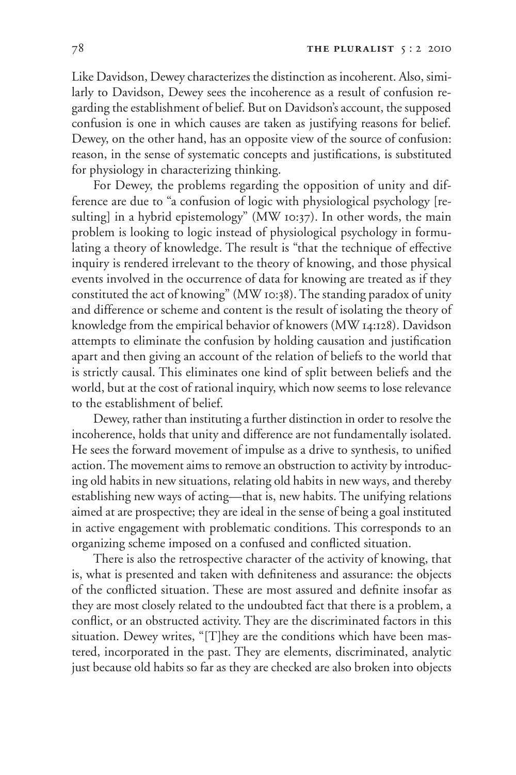Like Davidson, Dewey characterizes the distinction as incoherent. Also, similarly to Davidson, Dewey sees the incoherence as a result of confusion regarding the establishment of belief. But on Davidson's account, the supposed confusion is one in which causes are taken as justifying reasons for belief. Dewey, on the other hand, has an opposite view of the source of confusion: reason, in the sense of systematic concepts and justifications, is substituted for physiology in characterizing thinking.

For Dewey, the problems regarding the opposition of unity and difference are due to "a confusion of logic with physiological psychology [resulting] in a hybrid epistemology" (MW 10:37). In other words, the main problem is looking to logic instead of physiological psychology in formulating a theory of knowledge. The result is "that the technique of effective inquiry is rendered irrelevant to the theory of knowing, and those physical events involved in the occurrence of data for knowing are treated as if they constituted the act of knowing" (MW 10:38). The standing paradox of unity and difference or scheme and content is the result of isolating the theory of knowledge from the empirical behavior of knowers (MW 14:128). Davidson attempts to eliminate the confusion by holding causation and justification apart and then giving an account of the relation of beliefs to the world that is strictly causal. This eliminates one kind of split between beliefs and the world, but at the cost of rational inquiry, which now seems to lose relevance to the establishment of belief.

Dewey, rather than instituting a further distinction in order to resolve the incoherence, holds that unity and difference are not fundamentally isolated. He sees the forward movement of impulse as a drive to synthesis, to unified action. The movement aims to remove an obstruction to activity by introducing old habits in new situations, relating old habits in new ways, and thereby establishing new ways of acting—that is, new habits. The unifying relations aimed at are prospective; they are ideal in the sense of being a goal instituted in active engagement with problematic conditions. This corresponds to an organizing scheme imposed on a confused and conflicted situation.

There is also the retrospective character of the activity of knowing, that is, what is presented and taken with definiteness and assurance: the objects of the conflicted situation. These are most assured and definite insofar as they are most closely related to the undoubted fact that there is a problem, a conflict, or an obstructed activity. They are the discriminated factors in this situation. Dewey writes, "[T]hey are the conditions which have been mastered, incorporated in the past. They are elements, discriminated, analytic just because old habits so far as they are checked are also broken into objects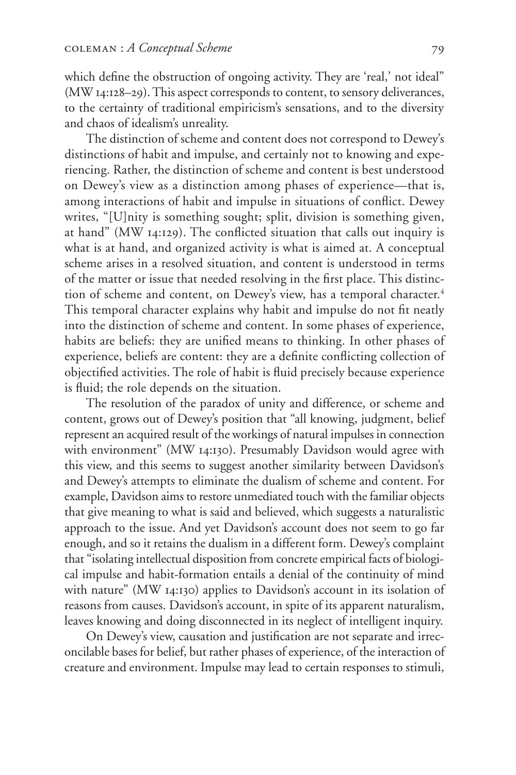which define the obstruction of ongoing activity. They are 'real,' not ideal" (MW 14:128–29). This aspect corresponds to content, to sensory deliverances, to the certainty of traditional empiricism's sensations, and to the diversity and chaos of idealism's unreality.

The distinction of scheme and content does not correspond to Dewey's distinctions of habit and impulse, and certainly not to knowing and experiencing. Rather, the distinction of scheme and content is best understood on Dewey's view as a distinction among phases of experience—that is, among interactions of habit and impulse in situations of conflict. Dewey writes, "[U]nity is something sought; split, division is something given, at hand" (MW 14:129). The conflicted situation that calls out inquiry is what is at hand, and organized activity is what is aimed at. A conceptual scheme arises in a resolved situation, and content is understood in terms of the matter or issue that needed resolving in the first place. This distinction of scheme and content, on Dewey's view, has a temporal character.<sup>4</sup> This temporal character explains why habit and impulse do not fit neatly into the distinction of scheme and content. In some phases of experience, habits are beliefs: they are unified means to thinking. In other phases of experience, beliefs are content: they are a definite conflicting collection of objectified activities. The role of habit is fluid precisely because experience is fluid; the role depends on the situation.

The resolution of the paradox of unity and difference, or scheme and content, grows out of Dewey's position that "all knowing, judgment, belief represent an acquired result of the workings of natural impulses in connection with environment" (MW 14:130). Presumably Davidson would agree with this view, and this seems to suggest another similarity between Davidson's and Dewey's attempts to eliminate the dualism of scheme and content. For example, Davidson aims to restore unmediated touch with the familiar objects that give meaning to what is said and believed, which suggests a naturalistic approach to the issue. And yet Davidson's account does not seem to go far enough, and so it retains the dualism in a different form. Dewey's complaint that "isolating intellectual disposition from concrete empirical facts of biological impulse and habit-formation entails a denial of the continuity of mind with nature" (MW 14:130) applies to Davidson's account in its isolation of reasons from causes. Davidson's account, in spite of its apparent naturalism, leaves knowing and doing disconnected in its neglect of intelligent inquiry.

On Dewey's view, causation and justification are not separate and irreconcilable bases for belief, but rather phases of experience, of the interaction of creature and environment. Impulse may lead to certain responses to stimuli,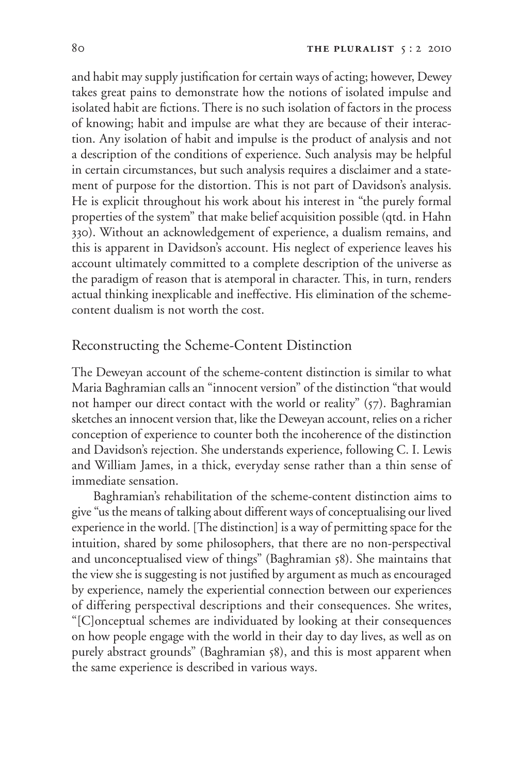and habit may supply justification for certain ways of acting; however, Dewey takes great pains to demonstrate how the notions of isolated impulse and isolated habit are fictions. There is no such isolation of factors in the process of knowing; habit and impulse are what they are because of their interaction. Any isolation of habit and impulse is the product of analysis and not a description of the conditions of experience. Such analysis may be helpful in certain circumstances, but such analysis requires a disclaimer and a statement of purpose for the distortion. This is not part of Davidson's analysis. He is explicit throughout his work about his interest in "the purely formal properties of the system" that make belief acquisition possible (qtd. in Hahn 330). Without an acknowledgement of experience, a dualism remains, and this is apparent in Davidson's account. His neglect of experience leaves his account ultimately committed to a complete description of the universe as the paradigm of reason that is atemporal in character. This, in turn, renders actual thinking inexplicable and ineffective. His elimination of the schemecontent dualism is not worth the cost.

### Reconstructing the Scheme-Content Distinction

The Deweyan account of the scheme-content distinction is similar to what Maria Baghramian calls an "innocent version" of the distinction "that would not hamper our direct contact with the world or reality" (57). Baghramian sketches an innocent version that, like the Deweyan account, relies on a richer conception of experience to counter both the incoherence of the distinction and Davidson's rejection. She understands experience, following C. I. Lewis and William James, in a thick, everyday sense rather than a thin sense of immediate sensation.

Baghramian's rehabilitation of the scheme-content distinction aims to give "us the means of talking about different ways of conceptualising our lived experience in the world. [The distinction] is a way of permitting space for the intuition, shared by some philosophers, that there are no non-perspectival and unconceptualised view of things" (Baghramian 58). She maintains that the view she is suggesting is not justified by argument as much as encouraged by experience, namely the experiential connection between our experiences of differing perspectival descriptions and their consequences. She writes, "[C]onceptual schemes are individuated by looking at their consequences on how people engage with the world in their day to day lives, as well as on purely abstract grounds" (Baghramian 58), and this is most apparent when the same experience is described in various ways.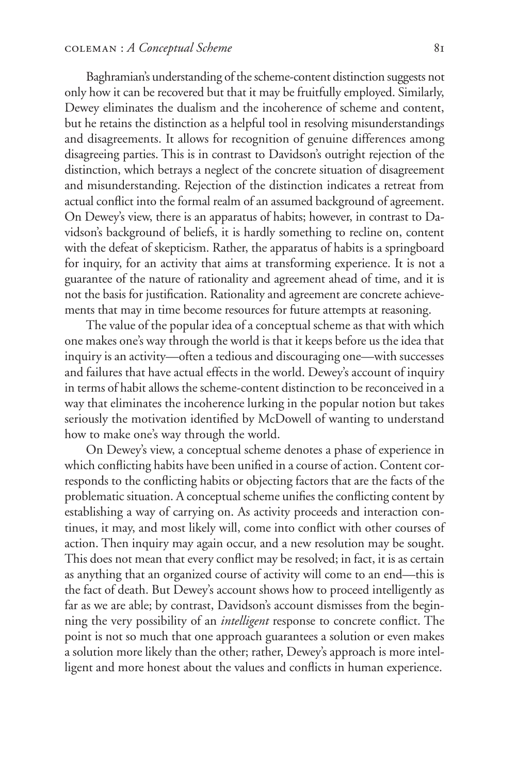Baghramian's understanding of the scheme-content distinction suggests not only how it can be recovered but that it may be fruitfully employed. Similarly, Dewey eliminates the dualism and the incoherence of scheme and content, but he retains the distinction as a helpful tool in resolving misunderstandings and disagreements. It allows for recognition of genuine differences among disagreeing parties. This is in contrast to Davidson's outright rejection of the distinction, which betrays a neglect of the concrete situation of disagreement and misunderstanding. Rejection of the distinction indicates a retreat from actual conflict into the formal realm of an assumed background of agreement. On Dewey's view, there is an apparatus of habits; however, in contrast to Davidson's background of beliefs, it is hardly something to recline on, content with the defeat of skepticism. Rather, the apparatus of habits is a springboard for inquiry, for an activity that aims at transforming experience. It is not a guarantee of the nature of rationality and agreement ahead of time, and it is not the basis for justification. Rationality and agreement are concrete achievements that may in time become resources for future attempts at reasoning.

The value of the popular idea of a conceptual scheme as that with which one makes one's way through the world is that it keeps before us the idea that inquiry is an activity—often a tedious and discouraging one—with successes and failures that have actual effects in the world. Dewey's account of inquiry in terms of habit allows the scheme-content distinction to be reconceived in a way that eliminates the incoherence lurking in the popular notion but takes seriously the motivation identified by McDowell of wanting to understand how to make one's way through the world.

On Dewey's view, a conceptual scheme denotes a phase of experience in which conflicting habits have been unified in a course of action. Content corresponds to the conflicting habits or objecting factors that are the facts of the problematic situation. A conceptual scheme unifies the conflicting content by establishing a way of carrying on. As activity proceeds and interaction continues, it may, and most likely will, come into conflict with other courses of action. Then inquiry may again occur, and a new resolution may be sought. This does not mean that every conflict may be resolved; in fact, it is as certain as anything that an organized course of activity will come to an end—this is the fact of death. But Dewey's account shows how to proceed intelligently as far as we are able; by contrast, Davidson's account dismisses from the beginning the very possibility of an *intelligent* response to concrete conflict. The point is not so much that one approach guarantees a solution or even makes a solution more likely than the other; rather, Dewey's approach is more intelligent and more honest about the values and conflicts in human experience.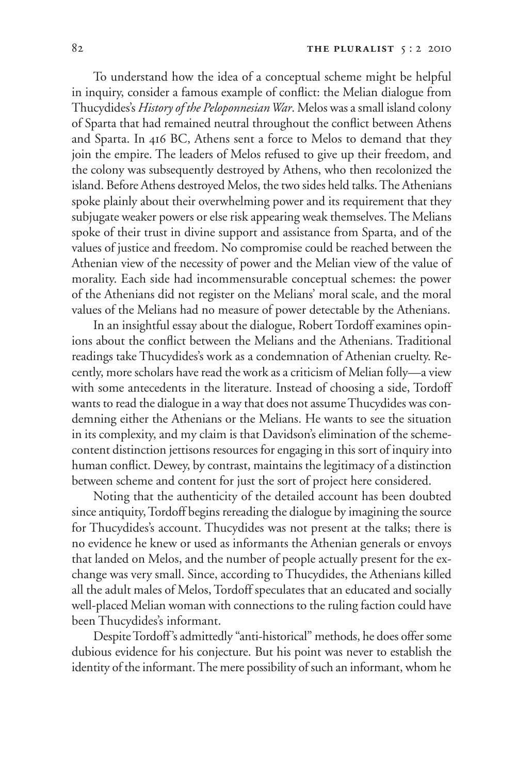To understand how the idea of a conceptual scheme might be helpful in inquiry, consider a famous example of conflict: the Melian dialogue from Thucydides's *History of the Peloponnesian War*. Melos was a small island colony of Sparta that had remained neutral throughout the conflict between Athens and Sparta. In 416 BC, Athens sent a force to Melos to demand that they join the empire. The leaders of Melos refused to give up their freedom, and the colony was subsequently destroyed by Athens, who then recolonized the island. Before Athens destroyed Melos, the two sides held talks. The Athenians spoke plainly about their overwhelming power and its requirement that they subjugate weaker powers or else risk appearing weak themselves. The Melians spoke of their trust in divine support and assistance from Sparta, and of the values of justice and freedom. No compromise could be reached between the Athenian view of the necessity of power and the Melian view of the value of morality. Each side had incommensurable conceptual schemes: the power of the Athenians did not register on the Melians' moral scale, and the moral values of the Melians had no measure of power detectable by the Athenians.

In an insightful essay about the dialogue, Robert Tordoff examines opinions about the conflict between the Melians and the Athenians. Traditional readings take Thucydides's work as a condemnation of Athenian cruelty. Recently, more scholars have read the work as a criticism of Melian folly—a view with some antecedents in the literature. Instead of choosing a side, Tordoff wants to read the dialogue in a way that does not assume Thucydides was condemning either the Athenians or the Melians. He wants to see the situation in its complexity, and my claim is that Davidson's elimination of the schemecontent distinction jettisons resources for engaging in this sort of inquiry into human conflict. Dewey, by contrast, maintains the legitimacy of a distinction between scheme and content for just the sort of project here considered.

Noting that the authenticity of the detailed account has been doubted since antiquity, Tordoff begins rereading the dialogue by imagining the source for Thucydides's account. Thucydides was not present at the talks; there is no evidence he knew or used as informants the Athenian generals or envoys that landed on Melos, and the number of people actually present for the exchange was very small. Since, according to Thucydides, the Athenians killed all the adult males of Melos, Tordoff speculates that an educated and socially well-placed Melian woman with connections to the ruling faction could have been Thucydides's informant.

Despite Tordoff's admittedly "anti-historical" methods, he does offer some dubious evidence for his conjecture. But his point was never to establish the identity of the informant. The mere possibility of such an informant, whom he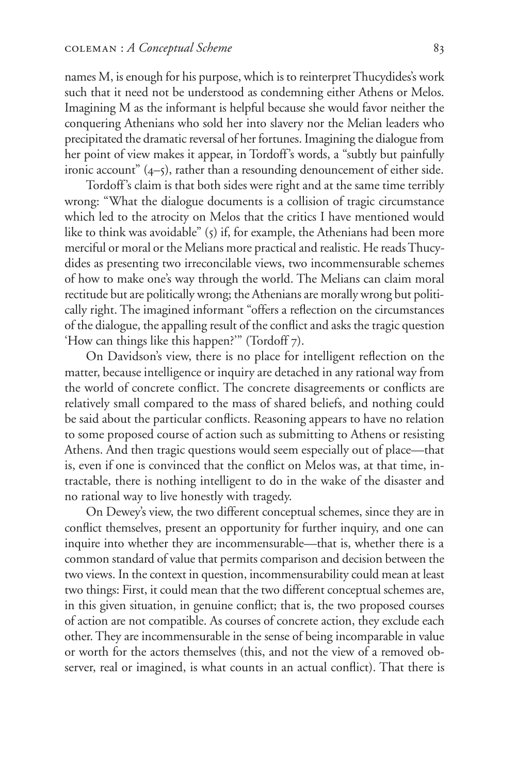names M, is enough for his purpose, which is to reinterpret Thucydides's work such that it need not be understood as condemning either Athens or Melos. Imagining M as the informant is helpful because she would favor neither the conquering Athenians who sold her into slavery nor the Melian leaders who precipitated the dramatic reversal of her fortunes. Imagining the dialogue from her point of view makes it appear, in Tordoff's words, a "subtly but painfully ironic account" (4–5), rather than a resounding denouncement of either side.

Tordoff's claim is that both sides were right and at the same time terribly wrong: "What the dialogue documents is a collision of tragic circumstance which led to the atrocity on Melos that the critics I have mentioned would like to think was avoidable" (5) if, for example, the Athenians had been more merciful or moral or the Melians more practical and realistic. He reads Thucydides as presenting two irreconcilable views, two incommensurable schemes of how to make one's way through the world. The Melians can claim moral rectitude but are politically wrong; the Athenians are morally wrong but politically right. The imagined informant "offers a reflection on the circumstances of the dialogue, the appalling result of the conflict and asks the tragic question 'How can things like this happen?'" (Tordoff 7).

On Davidson's view, there is no place for intelligent reflection on the matter, because intelligence or inquiry are detached in any rational way from the world of concrete conflict. The concrete disagreements or conflicts are relatively small compared to the mass of shared beliefs, and nothing could be said about the particular conflicts. Reasoning appears to have no relation to some proposed course of action such as submitting to Athens or resisting Athens. And then tragic questions would seem especially out of place—that is, even if one is convinced that the conflict on Melos was, at that time, intractable, there is nothing intelligent to do in the wake of the disaster and no rational way to live honestly with tragedy.

On Dewey's view, the two different conceptual schemes, since they are in conflict themselves, present an opportunity for further inquiry, and one can inquire into whether they are incommensurable—that is, whether there is a common standard of value that permits comparison and decision between the two views. In the context in question, incommensurability could mean at least two things: First, it could mean that the two different conceptual schemes are, in this given situation, in genuine conflict; that is, the two proposed courses of action are not compatible. As courses of concrete action, they exclude each other. They are incommensurable in the sense of being incomparable in value or worth for the actors themselves (this, and not the view of a removed observer, real or imagined, is what counts in an actual conflict). That there is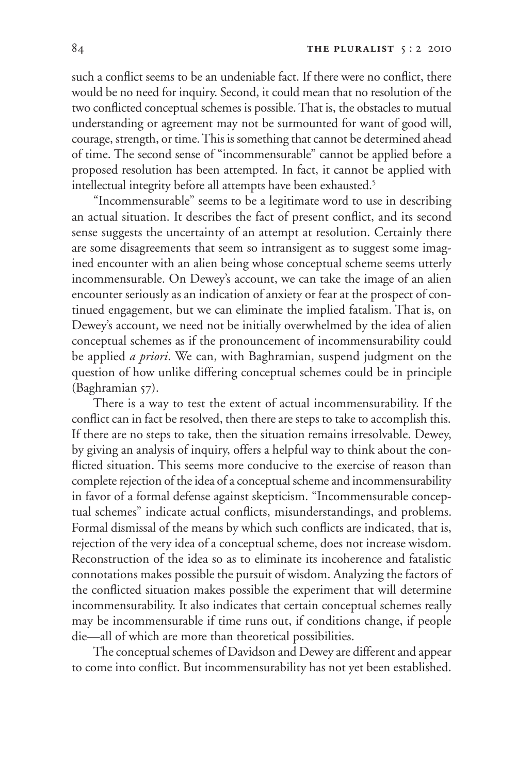such a conflict seems to be an undeniable fact. If there were no conflict, there would be no need for inquiry. Second, it could mean that no resolution of the two conflicted conceptual schemes is possible. That is, the obstacles to mutual understanding or agreement may not be surmounted for want of good will, courage, strength, or time. This is something that cannot be determined ahead of time. The second sense of "incommensurable" cannot be applied before a proposed resolution has been attempted. In fact, it cannot be applied with intellectual integrity before all attempts have been exhausted.<sup>5</sup>

"Incommensurable" seems to be a legitimate word to use in describing an actual situation. It describes the fact of present conflict, and its second sense suggests the uncertainty of an attempt at resolution. Certainly there are some disagreements that seem so intransigent as to suggest some imagined encounter with an alien being whose conceptual scheme seems utterly incommensurable. On Dewey's account, we can take the image of an alien encounter seriously as an indication of anxiety or fear at the prospect of continued engagement, but we can eliminate the implied fatalism. That is, on Dewey's account, we need not be initially overwhelmed by the idea of alien conceptual schemes as if the pronouncement of incommensurability could be applied *a priori*. We can, with Baghramian, suspend judgment on the question of how unlike differing conceptual schemes could be in principle (Baghramian 57).

There is a way to test the extent of actual incommensurability. If the conflict can in fact be resolved, then there are steps to take to accomplish this. If there are no steps to take, then the situation remains irresolvable. Dewey, by giving an analysis of inquiry, offers a helpful way to think about the conflicted situation. This seems more conducive to the exercise of reason than complete rejection of the idea of a conceptual scheme and incommensurability in favor of a formal defense against skepticism. "Incommensurable conceptual schemes" indicate actual conflicts, misunderstandings, and problems. Formal dismissal of the means by which such conflicts are indicated, that is, rejection of the very idea of a conceptual scheme, does not increase wisdom. Reconstruction of the idea so as to eliminate its incoherence and fatalistic connotations makes possible the pursuit of wisdom. Analyzing the factors of the conflicted situation makes possible the experiment that will determine incommensurability. It also indicates that certain conceptual schemes really may be incommensurable if time runs out, if conditions change, if people die—all of which are more than theoretical possibilities.

The conceptual schemes of Davidson and Dewey are different and appear to come into conflict. But incommensurability has not yet been established.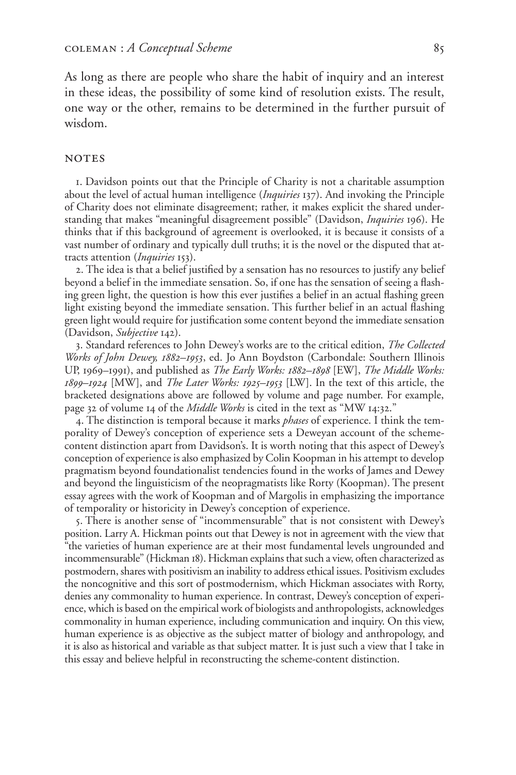As long as there are people who share the habit of inquiry and an interest in these ideas, the possibility of some kind of resolution exists. The result, one way or the other, remains to be determined in the further pursuit of wisdom.

#### **NOTES**

1. Davidson points out that the Principle of Charity is not a charitable assumption about the level of actual human intelligence (*Inquiries* 137). And invoking the Principle of Charity does not eliminate disagreement; rather, it makes explicit the shared understanding that makes "meaningful disagreement possible" (Davidson, *Inquiries* 196). He thinks that if this background of agreement is overlooked, it is because it consists of a vast number of ordinary and typically dull truths; it is the novel or the disputed that attracts attention (*Inquiries* 153).

2. The idea is that a belief justified by a sensation has no resources to justify any belief beyond a belief in the immediate sensation. So, if one has the sensation of seeing a flashing green light, the question is how this ever justifies a belief in an actual flashing green light existing beyond the immediate sensation. This further belief in an actual flashing green light would require for justification some content beyond the immediate sensation (Davidson, *Subjective* 142).

3. Standard references to John Dewey's works are to the critical edition, *The Collected Works of John Dewey, 1882–1953*, ed. Jo Ann Boydston (Carbondale: Southern Illinois UP, 1969–1991), and published as *The Early Works: 1882–1898* [EW], *The Middle Works: 1899–1924* [MW], and *The Later Works: 1925–1953* [LW]. In the text of this article, the bracketed designations above are followed by volume and page number. For example, page 32 of volume 14 of the *Middle Works* is cited in the text as "MW 14:32."

4. The distinction is temporal because it marks *phases* of experience. I think the temporality of Dewey's conception of experience sets a Deweyan account of the schemecontent distinction apart from Davidson's. It is worth noting that this aspect of Dewey's conception of experience is also emphasized by Colin Koopman in his attempt to develop pragmatism beyond foundationalist tendencies found in the works of James and Dewey and beyond the linguisticism of the neopragmatists like Rorty (Koopman). The present essay agrees with the work of Koopman and of Margolis in emphasizing the importance of temporality or historicity in Dewey's conception of experience.

5. There is another sense of "incommensurable" that is not consistent with Dewey's position. Larry A. Hickman points out that Dewey is not in agreement with the view that "the varieties of human experience are at their most fundamental levels ungrounded and incommensurable" (Hickman 18). Hickman explains that such a view, often characterized as postmodern, shares with positivism an inability to address ethical issues. Positivism excludes the noncognitive and this sort of postmodernism, which Hickman associates with Rorty, denies any commonality to human experience. In contrast, Dewey's conception of experience, which is based on the empirical work of biologists and anthropologists, acknowledges commonality in human experience, including communication and inquiry. On this view, human experience is as objective as the subject matter of biology and anthropology, and it is also as historical and variable as that subject matter. It is just such a view that I take in this essay and believe helpful in reconstructing the scheme-content distinction.